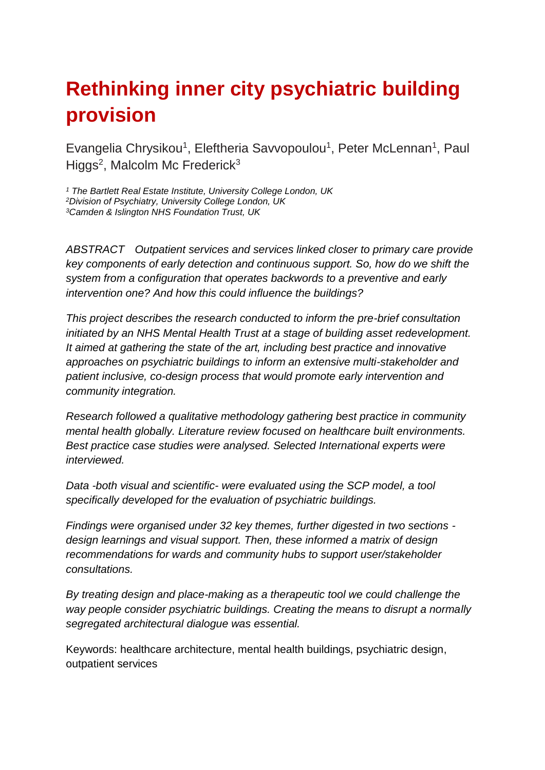# **Rethinking inner city psychiatric building provision**

Evangelia Chrysikou<sup>1</sup>, Eleftheria Savvopoulou<sup>1</sup>, Peter McLennan<sup>1</sup>, Paul Higgs<sup>2</sup>, Malcolm Mc Frederick<sup>3</sup>

*<sup>1</sup> The Bartlett Real Estate Institute, University College London, UK <sup>2</sup>Division of Psychiatry, University College London, UK <sup>3</sup>Camden & Islington NHS Foundation Trust, UK*

*ABSTRACT Outpatient services and services linked closer to primary care provide key components of early detection and continuous support. So, how do we shift the system from a configuration that operates backwords to a preventive and early intervention one? And how this could influence the buildings?*

*This project describes the research conducted to inform the pre-brief consultation initiated by an NHS Mental Health Trust at a stage of building asset redevelopment. It aimed at gathering the state of the art, including best practice and innovative approaches on psychiatric buildings to inform an extensive multi-stakeholder and patient inclusive, co-design process that would promote early intervention and community integration.* 

*Research followed a qualitative methodology gathering best practice in community mental health globally. Literature review focused on healthcare built environments. Best practice case studies were analysed. Selected International experts were interviewed.* 

*Data -both visual and scientific- were evaluated using the SCP model, a tool specifically developed for the evaluation of psychiatric buildings.* 

*Findings were organised under 32 key themes, further digested in two sections design learnings and visual support. Then, these informed a matrix of design recommendations for wards and community hubs to support user/stakeholder consultations.*

*By treating design and place-making as a therapeutic tool we could challenge the way people consider psychiatric buildings. Creating the means to disrupt a normally segregated architectural dialogue was essential.* 

Keywords: healthcare architecture, mental health buildings, psychiatric design, outpatient services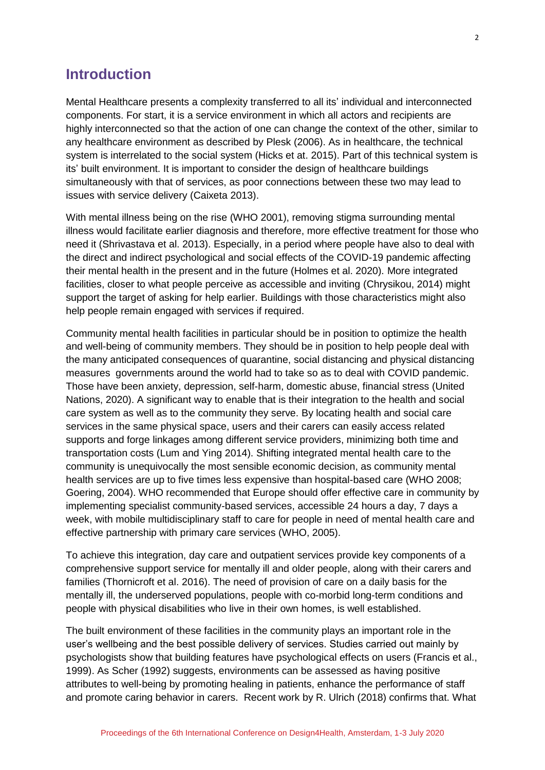### **Introduction**

Mental Healthcare presents a complexity transferred to all its' individual and interconnected components. For start, it is a service environment in which all actors and recipients are highly interconnected so that the action of one can change the context of the other, similar to any healthcare environment as described by Plesk (2006). As in healthcare, the technical system is interrelated to the social system (Hicks et at. 2015). Part of this technical system is its' built environment. It is important to consider the design of healthcare buildings simultaneously with that of services, as poor connections between these two may lead to issues with service delivery (Caixeta 2013).

With mental illness being on the rise (WHO 2001), removing stigma surrounding mental illness would facilitate earlier diagnosis and therefore, more effective treatment for those who need it (Shrivastava et al. 2013). Especially, in a period where people have also to deal with the direct and indirect psychological and social effects of the COVID-19 pandemic affecting their mental health in the present and in the future (Holmes et al. 2020). More integrated facilities, closer to what people perceive as accessible and inviting (Chrysikou, 2014) might support the target of asking for help earlier. Buildings with those characteristics might also help people remain engaged with services if required.

Community mental health facilities in particular should be in position to optimize the health and well-being of community members. They should be in position to help people deal with the many anticipated consequences of quarantine, social distancing and physical distancing measures governments around the world had to take so as to deal with COVID pandemic. Those have been anxiety, depression, self-harm, domestic abuse, financial stress (United Nations, 2020). A significant way to enable that is their integration to the health and social care system as well as to the community they serve. By locating health and social care services in the same physical space, users and their carers can easily access related supports and forge linkages among different service providers, minimizing both time and transportation costs (Lum and Ying 2014). Shifting integrated mental health care to the community is unequivocally the most sensible economic decision, as community mental health services are up to five times less expensive than hospital-based care (WHO 2008; Goering, 2004). WHO recommended that Europe should offer effective care in community by implementing specialist community-based services, accessible 24 hours a day, 7 days a week, with mobile multidisciplinary staff to care for people in need of mental health care and effective partnership with primary care services (WHO, 2005).

To achieve this integration, day care and outpatient services provide key components of a comprehensive support service for mentally ill and older people, along with their carers and families (Thornicroft et al. 2016). The need of provision of care on a daily basis for the mentally ill, the underserved populations, people with co-morbid long-term conditions and people with physical disabilities who live in their own homes, is well established.

The built environment of these facilities in the community plays an important role in the user's wellbeing and the best possible delivery of services. Studies carried out mainly by psychologists show that building features have psychological effects on users (Francis et al., 1999). As Scher (1992) suggests, environments can be assessed as having positive attributes to well-being by promoting healing in patients, enhance the performance of staff and promote caring behavior in carers. Recent work by R. Ulrich (2018) confirms that. What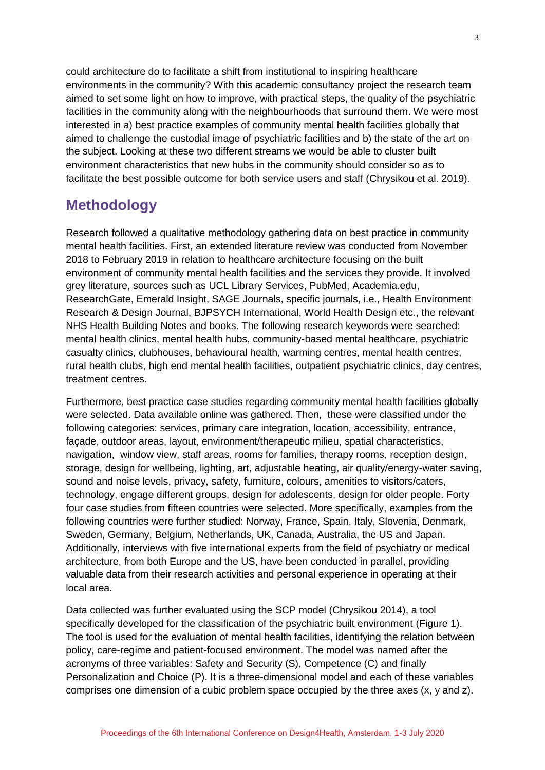could architecture do to facilitate a shift from institutional to inspiring healthcare environments in the community? With this academic consultancy project the research team aimed to set some light on how to improve, with practical steps, the quality of the psychiatric facilities in the community along with the neighbourhoods that surround them. We were most interested in a) best practice examples of community mental health facilities globally that aimed to challenge the custodial image of psychiatric facilities and b) the state of the art on the subject. Looking at these two different streams we would be able to cluster built environment characteristics that new hubs in the community should consider so as to facilitate the best possible outcome for both service users and staff (Chrysikou et al. 2019).

## **Methodology**

Research followed a qualitative methodology gathering data on best practice in community mental health facilities. First, an extended literature review was conducted from November 2018 to February 2019 in relation to healthcare architecture focusing on the built environment of community mental health facilities and the services they provide. It involved grey literature, sources such as UCL Library Services, PubMed, Academia.edu, ResearchGate, Emerald Insight, SAGE Journals, specific journals, i.e., Health Environment Research & Design Journal, BJPSYCH International, World Health Design etc., the relevant NHS Health Building Notes and books. The following research keywords were searched: mental health clinics, mental health hubs, community-based mental healthcare, psychiatric casualty clinics, clubhouses, behavioural health, warming centres, mental health centres, rural health clubs, high end mental health facilities, outpatient psychiatric clinics, day centres, treatment centres.

Furthermore, best practice case studies regarding community mental health facilities globally were selected. Data available online was gathered. Then, these were classified under the following categories: services, primary care integration, location, accessibility, entrance, façade, outdoor areas, layout, environment/therapeutic milieu, spatial characteristics, navigation, window view, staff areas, rooms for families, therapy rooms, reception design, storage, design for wellbeing, lighting, art, adjustable heating, air quality/energy-water saving, sound and noise levels, privacy, safety, furniture, colours, amenities to visitors/caters, technology, engage different groups, design for adolescents, design for older people. Forty four case studies from fifteen countries were selected. More specifically, examples from the following countries were further studied: Norway, France, Spain, Italy, Slovenia, Denmark, Sweden, Germany, Belgium, Netherlands, UK, Canada, Australia, the US and Japan. Additionally, interviews with five international experts from the field of psychiatry or medical architecture, from both Europe and the US, have been conducted in parallel, providing valuable data from their research activities and personal experience in operating at their local area.

Data collected was further evaluated using the SCP model (Chrysikou 2014), a tool specifically developed for the classification of the psychiatric built environment (Figure 1). The tool is used for the evaluation of mental health facilities, identifying the relation between policy, care-regime and patient-focused environment. The model was named after the acronyms of three variables: Safety and Security (S), Competence (C) and finally Personalization and Choice (P). It is a three-dimensional model and each of these variables comprises one dimension of a cubic problem space occupied by the three axes (x, y and z).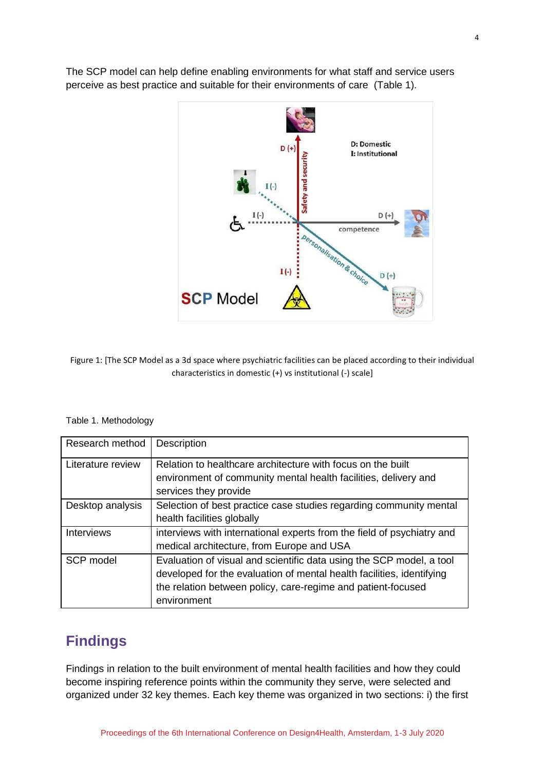The SCP model can help define enabling environments for what staff and service users perceive as best practice and suitable for their environments of care (Table 1).



Figure 1: [The SCP Model as a 3d space where psychiatric facilities can be placed according to their individual characteristics in domestic (+) vs institutional (-) scale]

| Research method   | Description                                                                                                                                                                                                                  |
|-------------------|------------------------------------------------------------------------------------------------------------------------------------------------------------------------------------------------------------------------------|
| Literature review | Relation to healthcare architecture with focus on the built<br>environment of community mental health facilities, delivery and<br>services they provide                                                                      |
| Desktop analysis  | Selection of best practice case studies regarding community mental<br>health facilities globally                                                                                                                             |
| <b>Interviews</b> | interviews with international experts from the field of psychiatry and<br>medical architecture, from Europe and USA                                                                                                          |
| SCP model         | Evaluation of visual and scientific data using the SCP model, a tool<br>developed for the evaluation of mental health facilities, identifying<br>the relation between policy, care-regime and patient-focused<br>environment |

#### Table 1. Methodology

### **Findings**

Findings in relation to the built environment of mental health facilities and how they could become inspiring reference points within the community they serve, were selected and organized under 32 key themes. Each key theme was organized in two sections: i) the first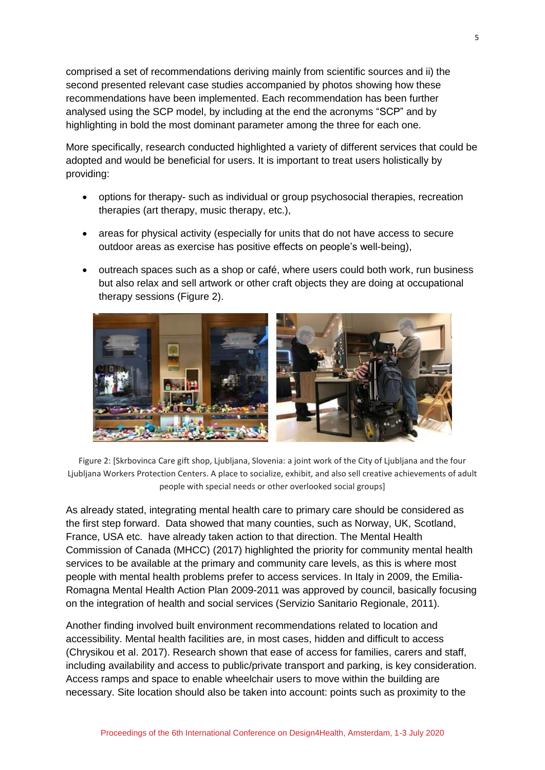comprised a set of recommendations deriving mainly from scientific sources and ii) the second presented relevant case studies accompanied by photos showing how these recommendations have been implemented. Each recommendation has been further analysed using the SCP model, by including at the end the acronyms "SCP" and by highlighting in bold the most dominant parameter among the three for each one.

More specifically, research conducted highlighted a variety of different services that could be adopted and would be beneficial for users. It is important to treat users holistically by providing:

- options for therapy- such as individual or group psychosocial therapies, recreation therapies (art therapy, music therapy, etc.),
- areas for physical activity (especially for units that do not have access to secure outdoor areas as exercise has positive effects on people's well-being),
- outreach spaces such as a shop or café, where users could both work, run business but also relax and sell artwork or other craft objects they are doing at occupational therapy sessions (Figure 2).



Figure 2: [Skrbovinca Care gift shop, Ljubljana, Slovenia: a joint work of the City of Ljubljana and the four Ljubljana Workers Protection Centers. A place to socialize, exhibit, and also sell creative achievements of adult people with special needs or other overlooked social groups]

As already stated, integrating mental health care to primary care should be considered as the first step forward. Data showed that many counties, such as Norway, UK, Scotland, France, USA etc. have already taken action to that direction. The Mental Health Commission of Canada (MHCC) (2017) highlighted the priority for community mental health services to be available at the primary and community care levels, as this is where most people with mental health problems prefer to access services. In Italy in 2009, the Emilia-Romagna Mental Health Action Plan 2009-2011 was approved by council, basically focusing on the integration of health and social services (Servizio Sanitario Regionale, 2011).

Another finding involved built environment recommendations related to location and accessibility. Mental health facilities are, in most cases, hidden and difficult to access (Chrysikou et al. 2017). Research shown that ease of access for families, carers and staff, including availability and access to public/private transport and parking, is key consideration. Access ramps and space to enable wheelchair users to move within the building are necessary. Site location should also be taken into account: points such as proximity to the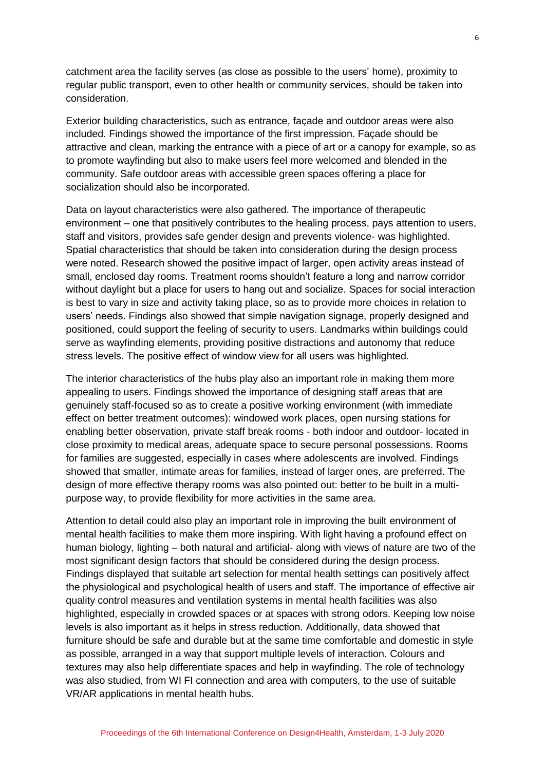catchment area the facility serves (as close as possible to the users' home), proximity to regular public transport, even to other health or community services, should be taken into consideration.

Exterior building characteristics, such as entrance, façade and outdoor areas were also included. Findings showed the importance of the first impression. Façade should be attractive and clean, marking the entrance with a piece of art or a canopy for example, so as to promote wayfinding but also to make users feel more welcomed and blended in the community. Safe outdoor areas with accessible green spaces offering a place for socialization should also be incorporated.

Data on layout characteristics were also gathered. The importance of therapeutic environment – one that positively contributes to the healing process, pays attention to users, staff and visitors, provides safe gender design and prevents violence- was highlighted. Spatial characteristics that should be taken into consideration during the design process were noted. Research showed the positive impact of larger, open activity areas instead of small, enclosed day rooms. Treatment rooms shouldn't feature a long and narrow corridor without daylight but a place for users to hang out and socialize. Spaces for social interaction is best to vary in size and activity taking place, so as to provide more choices in relation to users' needs. Findings also showed that simple navigation signage, properly designed and positioned, could support the feeling of security to users. Landmarks within buildings could serve as wayfinding elements, providing positive distractions and autonomy that reduce stress levels. The positive effect of window view for all users was highlighted.

The interior characteristics of the hubs play also an important role in making them more appealing to users. Findings showed the importance of designing staff areas that are genuinely staff-focused so as to create a positive working environment (with immediate effect on better treatment outcomes): windowed work places, open nursing stations for enabling better observation, private staff break rooms - both indoor and outdoor- located in close proximity to medical areas, adequate space to secure personal possessions. Rooms for families are suggested, especially in cases where adolescents are involved. Findings showed that smaller, intimate areas for families, instead of larger ones, are preferred. The design of more effective therapy rooms was also pointed out: better to be built in a multipurpose way, to provide flexibility for more activities in the same area.

Attention to detail could also play an important role in improving the built environment of mental health facilities to make them more inspiring. With light having a profound effect on human biology, lighting – both natural and artificial- along with views of nature are two of the most significant design factors that should be considered during the design process. Findings displayed that suitable art selection for mental health settings can positively affect the physiological and psychological health of users and staff. The importance of effective air quality control measures and ventilation systems in mental health facilities was also highlighted, especially in crowded spaces or at spaces with strong odors. Keeping low noise levels is also important as it helps in stress reduction. Additionally, data showed that furniture should be safe and durable but at the same time comfortable and domestic in style as possible, arranged in a way that support multiple levels of interaction. Colours and textures may also help differentiate spaces and help in wayfinding. The role of technology was also studied, from WI FI connection and area with computers, to the use of suitable VR/AR applications in mental health hubs.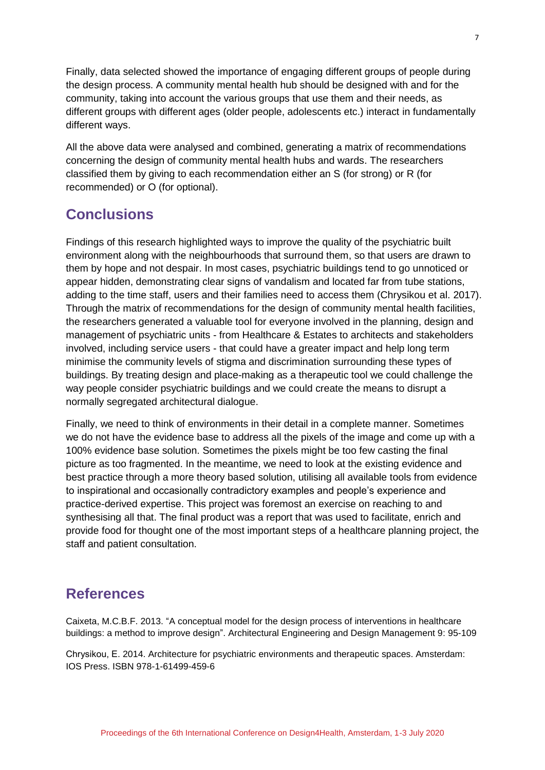Finally, data selected showed the importance of engaging different groups of people during the design process. A community mental health hub should be designed with and for the community, taking into account the various groups that use them and their needs, as different groups with different ages (older people, adolescents etc.) interact in fundamentally different ways.

All the above data were analysed and combined, generating a matrix of recommendations concerning the design of community mental health hubs and wards. The researchers classified them by giving to each recommendation either an S (for strong) or R (for recommended) or O (for optional).

### **Conclusions**

Findings of this research highlighted ways to improve the quality of the psychiatric built environment along with the neighbourhoods that surround them, so that users are drawn to them by hope and not despair. In most cases, psychiatric buildings tend to go unnoticed or appear hidden, demonstrating clear signs of vandalism and located far from tube stations, adding to the time staff, users and their families need to access them (Chrysikou et al. 2017). Through the matrix of recommendations for the design of community mental health facilities, the researchers generated a valuable tool for everyone involved in the planning, design and management of psychiatric units - from Healthcare & Estates to architects and stakeholders involved, including service users - that could have a greater impact and help long term minimise the community levels of stigma and discrimination surrounding these types of buildings. By treating design and place-making as a therapeutic tool we could challenge the way people consider psychiatric buildings and we could create the means to disrupt a normally segregated architectural dialogue.

Finally, we need to think of environments in their detail in a complete manner. Sometimes we do not have the evidence base to address all the pixels of the image and come up with a 100% evidence base solution. Sometimes the pixels might be too few casting the final picture as too fragmented. In the meantime, we need to look at the existing evidence and best practice through a more theory based solution, utilising all available tools from evidence to inspirational and occasionally contradictory examples and people's experience and practice-derived expertise. This project was foremost an exercise on reaching to and synthesising all that. The final product was a report that was used to facilitate, enrich and provide food for thought one of the most important steps of a healthcare planning project, the staff and patient consultation.

### **References**

Caixeta, M.C.B.F. 2013. "A conceptual model for the design process of interventions in healthcare buildings: a method to improve design". Architectural Engineering and Design Management 9: 95-109

Chrysikou, Ε. 2014. Architecture for psychiatric environments and therapeutic spaces. Amsterdam: IOS Press. ISBN 978-1-61499-459-6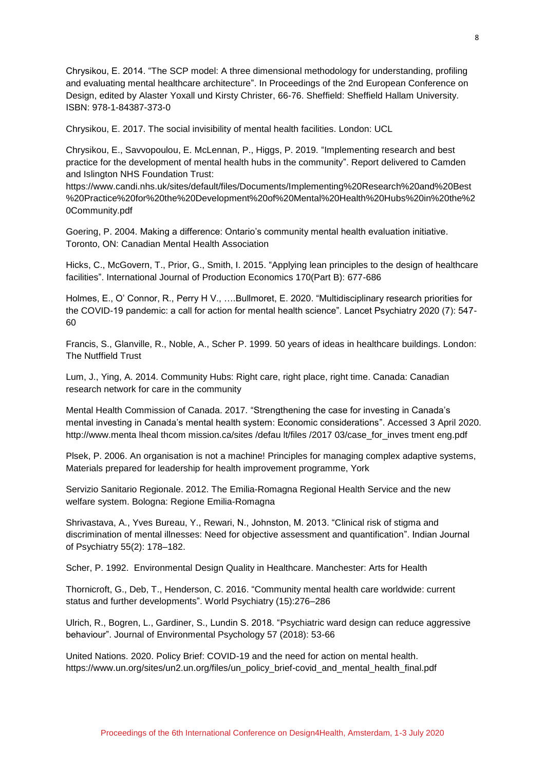Chrysikou, Ε. 2014. "The SCP model: A three dimensional methodology for understanding, profiling and evaluating mental healthcare architecture". In Proceedings of the 2nd European Conference on Design, edited by Alaster Yoxall und Kirsty Christer, 66-76. Sheffield: Sheffield Hallam University. ISBN: 978-1-84387-373-0

Chrysikou, E. 2017. The social invisibility of mental health facilities. London: UCL

Chrysikou, E., Savvopoulou, E. McLennan, P., Higgs, P. 2019. "Implementing research and best practice for the development of mental health hubs in the community". Report delivered to Camden and Islington NHS Foundation Trust:

https://www.candi.nhs.uk/sites/default/files/Documents/Implementing%20Research%20and%20Best %20Practice%20for%20the%20Development%20of%20Mental%20Health%20Hubs%20in%20the%2 0Community.pdf

Goering, P. 2004. Making a difference: Ontario's community mental health evaluation initiative. Toronto, ON: Canadian Mental Health Association

Hicks, C., McGovern, T., Prior, G., Smith, I. 2015. "Applying lean principles to the design of healthcare facilities". International Journal of Production Economics 170(Part B): 677-686

Holmes, E., O' Connor, R., Perry H V., ….Bullmoret, E. 2020. "Multidisciplinary research priorities for the COVID-19 pandemic: a call for action for mental health science". Lancet Psychiatry 2020 (7): 547- 60

Francis, S., Glanville, R., Noble, A., Scher P. 1999. 50 years of ideas in healthcare buildings. London: The Nutffield Trust

Lum, J., Ying, A. 2014. Community Hubs: Right care, right place, right time. Canada: Canadian research network for care in the community

Mental Health Commission of Canada. 2017. "Strengthening the case for investing in Canada's mental investing in Canada's mental health system: Economic considerations". Accessed 3 April 2020. http://www.menta lheal thcom mission.ca/sites /defau lt/files /2017 03/case\_for\_inves tment eng.pdf

Plsek, P. 2006. An organisation is not a machine! Principles for managing complex adaptive systems, Materials prepared for leadership for health improvement programme, York

Servizio Sanitario Regionale. 2012. The Emilia-Romagna Regional Health Service and the new welfare system. Bologna: Regione Emilia-Romagna

Shrivastava, A., Yves Bureau, Y., Rewari, N., Johnston, M. 2013. "Clinical risk of stigma and discrimination of mental illnesses: Need for objective assessment and quantification". Indian Journal of Psychiatry 55(2): 178–182.

Scher, P. 1992. Environmental Design Quality in Healthcare. Manchester: Arts for Health

Thornicroft, G., Deb, T., Henderson, C. 2016. "Community mental health care worldwide: current status and further developments". World Psychiatry (15):276–286

Ulrich, R., Bogren, L., Gardiner, S., Lundin S. 2018. "Psychiatric ward design can reduce aggressive behaviour". Journal of Environmental Psychology 57 (2018): 53-66

United Nations. 2020. Policy Brief: COVID-19 and the need for action on mental health. https://www.un.org/sites/un2.un.org/files/un\_policy\_brief-covid\_and\_mental\_health\_final.pdf